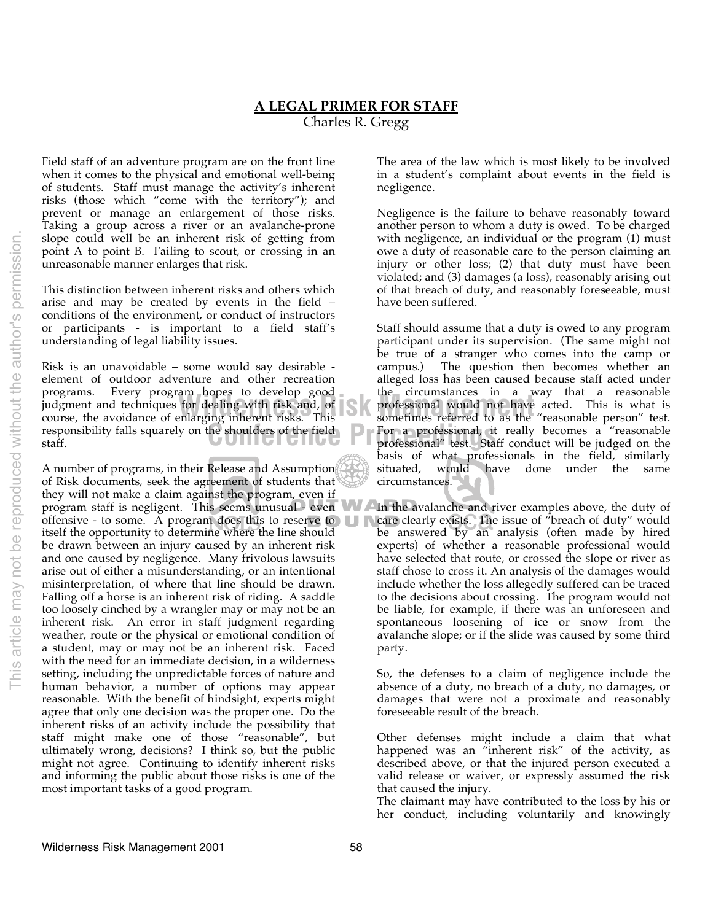## **A LEGAL PRIMER FOR STAFF** Charles R. Gregg

Field staff of an adventure program are on the front line when it comes to the physical and emotional well-being of students. Staff must manage the activity's inherent risks (those which "come with the territory"); and prevent or manage an enlargement of those risks. Taking a group across a river or an avalanche-prone slope could well be an inherent risk of getting from point A to point B. Failing to scout, or crossing in an unreasonable manner enlarges that risk.

This distinction between inherent risks and others which arise and may be created by events in the field – conditions of the environment, or conduct of instructors or participants - is important to a field staff's understanding of legal liability issues.

Risk is an unavoidable – some would say desirable element of outdoor adventure and other recreation programs. Every program hopes to develop good judgment and techniques for dealing with risk and, of course, the avoidance of enlarging inherent risks. This responsibility falls squarely on the shoulders of the field staff.

A number of programs, in their Release and Assumption of Risk documents, seek the agreement of students that they will not make a claim against the program, even if offensive - to some. A program does this to reserve to  $\Box$ itself the opportunity to determine where the line should be drawn between an injury caused by an inherent risk and one caused by negligence. Many frivolous lawsuits arise out of either a misunderstanding, or an intentional misinterpretation, of where that line should be drawn. Falling off a horse is an inherent risk of riding. A saddle too loosely cinched by a wrangler may or may not be an inherent risk. An error in staff judgment regarding weather, route or the physical or emotional condition of a student, may or may not be an inherent risk. Faced with the need for an immediate decision, in a wilderness setting, including the unpredictable forces of nature and human behavior, a number of options may appear reasonable. With the benefit of hindsight, experts might agree that only one decision was the proper one. Do the inherent risks of an activity include the possibility that staff might make one of those "reasonable", but ultimately wrong, decisions? I think so, but the public might not agree. Continuing to identify inherent risks and informing the public about those risks is one of the most important tasks of a good program.

The area of the law which is most likely to be involved in a student's complaint about events in the field is negligence.

Negligence is the failure to behave reasonably toward another person to whom a duty is owed. To be charged with negligence, an individual or the program (1) must owe a duty of reasonable care to the person claiming an injury or other loss; (2) that duty must have been violated; and (3) damages (a loss), reasonably arising out of that breach of duty, and reasonably foreseeable, must have been suffered.

he shoulders of the field **Conference Professional**, it really becomes a "reasonable professional" test. Staff conduct will be judged on the am hopes to develop good the circumstances in a way that a reasonable<br>for dealing with risk and, of **Source** professional would not have acted. This is what is<br>enlarging inherent risks. This sometimes referred to as the "r Staff should assume that a duty is owed to any program participant under its supervision. (The same might not be true of a stranger who comes into the camp or campus.) The question then becomes whether an alleged loss has been caused because staff acted under professional would not have acted. This is what is sometimes referred to as the "reasonable person" test. professional" test. Staff conduct will be judged on the basis of what professionals in the field, similarly situated, would have done under the same circumstances.

program staff is negligent. This seems unusual - even In the avalanche and river examples above, the duty of care clearly exists. The issue of "breach of duty" would be answered by an analysis (often made by hired experts) of whether a reasonable professional would have selected that route, or crossed the slope or river as staff chose to cross it. An analysis of the damages would include whether the loss allegedly suffered can be traced to the decisions about crossing. The program would not be liable, for example, if there was an unforeseen and spontaneous loosening of ice or snow from the avalanche slope; or if the slide was caused by some third party.

> So, the defenses to a claim of negligence include the absence of a duty, no breach of a duty, no damages, or damages that were not a proximate and reasonably foreseeable result of the breach.

> Other defenses might include a claim that what happened was an "inherent risk" of the activity, as described above, or that the injured person executed a valid release or waiver, or expressly assumed the risk that caused the injury.

> The claimant may have contributed to the loss by his or her conduct, including voluntarily and knowingly